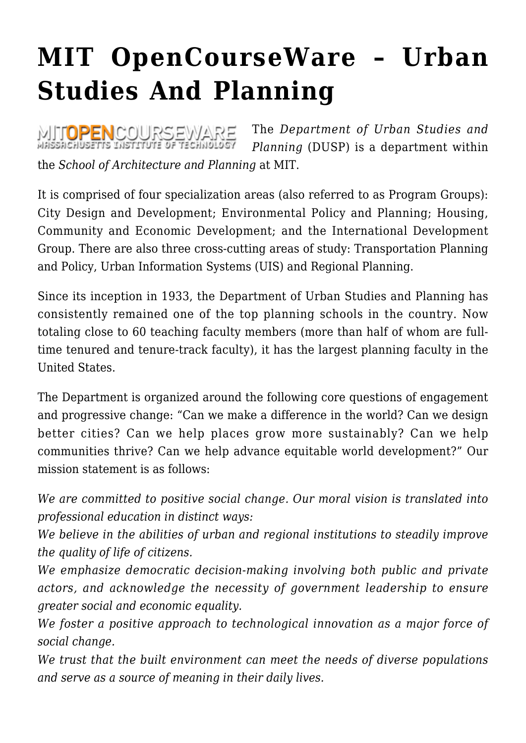## **[MIT OpenCourseWare – Urban](https://rozenbergquarterly.com/mit-opencourseware-urban-studies-and-planning/) [Studies And Planning](https://rozenbergquarterly.com/mit-opencourseware-urban-studies-and-planning/)**

The *Department of Urban Studies and* MITOPENCOURSEWARE *Planning* (DUSP) is a department within the *School of Architecture and Planning* at MIT.

It is comprised of four specialization areas (also referred to as Program Groups): City Design and Development; Environmental Policy and Planning; Housing, Community and Economic Development; and the International Development Group. There are also three cross-cutting areas of study: Transportation Planning and Policy, Urban Information Systems (UIS) and Regional Planning.

Since its inception in 1933, the Department of Urban Studies and Planning has consistently remained one of the top planning schools in the country. Now totaling close to 60 teaching faculty members (more than half of whom are fulltime tenured and tenure-track faculty), it has the largest planning faculty in the United States.

The Department is organized around the following core questions of engagement and progressive change: "Can we make a difference in the world? Can we design better cities? Can we help places grow more sustainably? Can we help communities thrive? Can we help advance equitable world development?" Our mission statement is as follows:

*We are committed to positive social change. Our moral vision is translated into professional education in distinct ways:*

*We believe in the abilities of urban and regional institutions to steadily improve the quality of life of citizens.*

*We emphasize democratic decision-making involving both public and private actors, and acknowledge the necessity of government leadership to ensure greater social and economic equality.*

*We foster a positive approach to technological innovation as a major force of social change.*

*We trust that the built environment can meet the needs of diverse populations and serve as a source of meaning in their daily lives.*